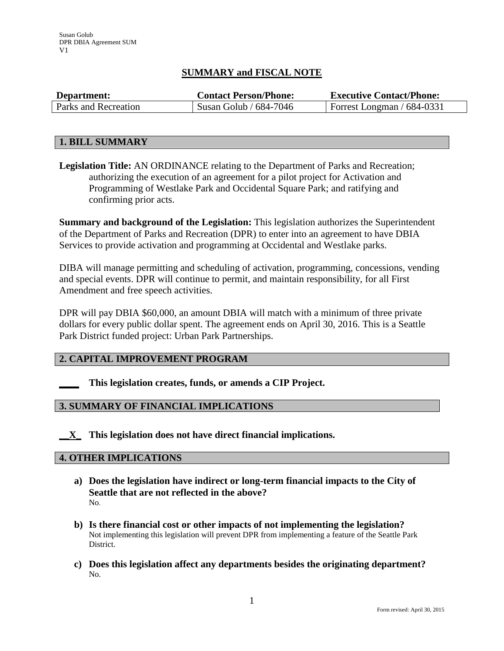# **SUMMARY and FISCAL NOTE**

| Department:          | <b>Contact Person/Phone:</b> | <b>Executive Contact/Phone:</b> |
|----------------------|------------------------------|---------------------------------|
| Parks and Recreation | Susan Golub / $684-7046$     | Forrest Longman $/$ 684-0331    |

#### **1. BILL SUMMARY**

**Legislation Title:** AN ORDINANCE relating to the Department of Parks and Recreation; authorizing the execution of an agreement for a pilot project for Activation and Programming of Westlake Park and Occidental Square Park; and ratifying and confirming prior acts.

**Summary and background of the Legislation:** This legislation authorizes the Superintendent of the Department of Parks and Recreation (DPR) to enter into an agreement to have DBIA Services to provide activation and programming at Occidental and Westlake parks.

DIBA will manage permitting and scheduling of activation, programming, concessions, vending and special events. DPR will continue to permit, and maintain responsibility, for all First Amendment and free speech activities.

DPR will pay DBIA \$60,000, an amount DBIA will match with a minimum of three private dollars for every public dollar spent. The agreement ends on April 30, 2016. This is a Seattle Park District funded project: Urban Park Partnerships.

## **2. CAPITAL IMPROVEMENT PROGRAM**

**\_\_\_\_ This legislation creates, funds, or amends a CIP Project.** 

## **3. SUMMARY OF FINANCIAL IMPLICATIONS**

**\_\_X\_ This legislation does not have direct financial implications.**

#### **4. OTHER IMPLICATIONS**

- **a) Does the legislation have indirect or long-term financial impacts to the City of Seattle that are not reflected in the above?** No.
- **b) Is there financial cost or other impacts of not implementing the legislation?** Not implementing this legislation will prevent DPR from implementing a feature of the Seattle Park District.
- **c) Does this legislation affect any departments besides the originating department?**  No.